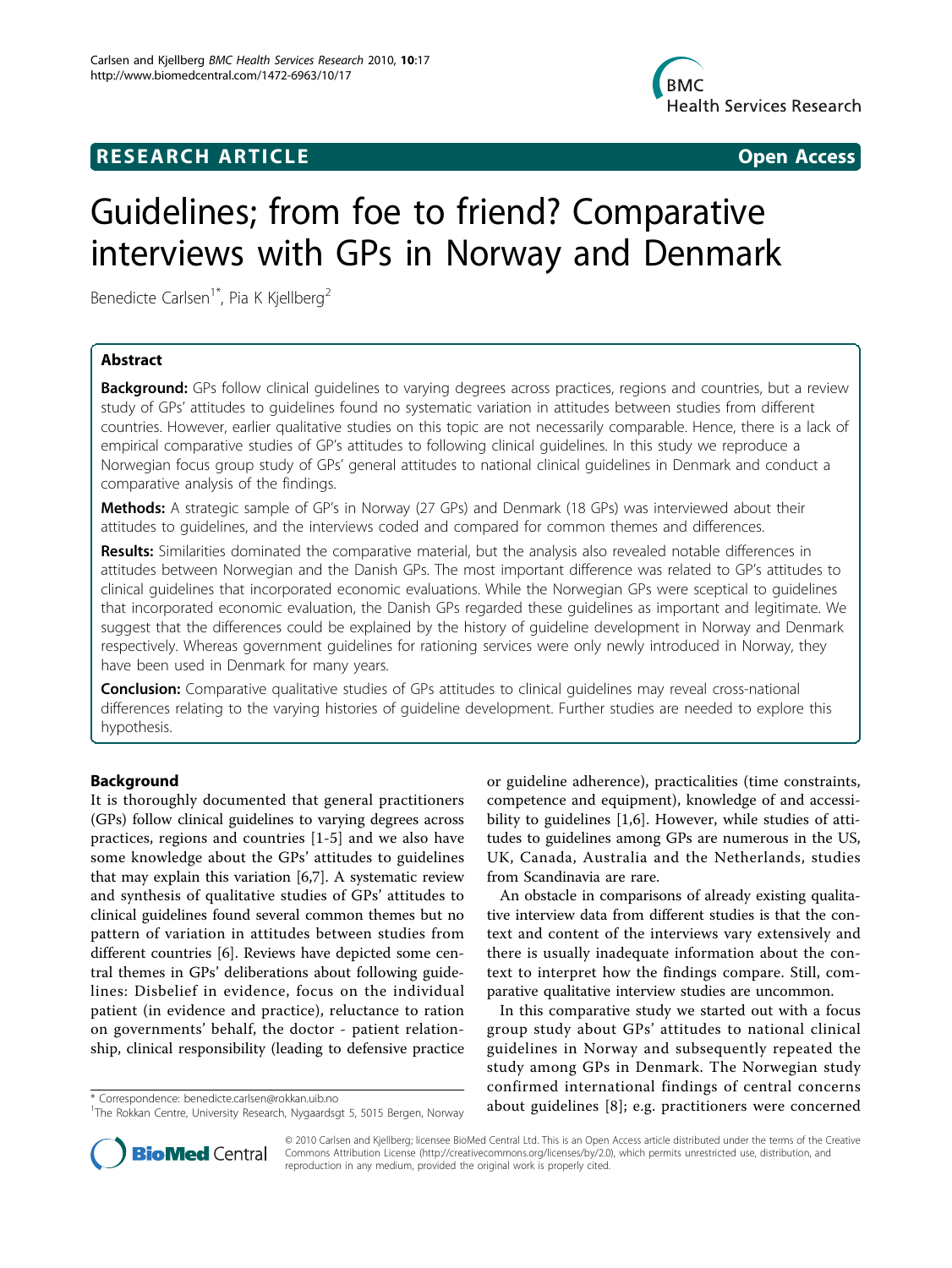

## **RESEARCH ARTICLE CONSUMING ACCESS**

# Guidelines; from foe to friend? Comparative interviews with GPs in Norway and Denmark

Benedicte Carlsen<sup>1\*</sup>, Pia K Kjellberg<sup>2</sup>

## Abstract

**Background:** GPs follow clinical guidelines to varying degrees across practices, regions and countries, but a review study of GPs' attitudes to guidelines found no systematic variation in attitudes between studies from different countries. However, earlier qualitative studies on this topic are not necessarily comparable. Hence, there is a lack of empirical comparative studies of GP's attitudes to following clinical guidelines. In this study we reproduce a Norwegian focus group study of GPs' general attitudes to national clinical guidelines in Denmark and conduct a comparative analysis of the findings.

Methods: A strategic sample of GP's in Norway (27 GPs) and Denmark (18 GPs) was interviewed about their attitudes to guidelines, and the interviews coded and compared for common themes and differences.

Results: Similarities dominated the comparative material, but the analysis also revealed notable differences in attitudes between Norwegian and the Danish GPs. The most important difference was related to GP's attitudes to clinical guidelines that incorporated economic evaluations. While the Norwegian GPs were sceptical to guidelines that incorporated economic evaluation, the Danish GPs regarded these guidelines as important and legitimate. We suggest that the differences could be explained by the history of guideline development in Norway and Denmark respectively. Whereas government guidelines for rationing services were only newly introduced in Norway, they have been used in Denmark for many years.

**Conclusion:** Comparative qualitative studies of GPs attitudes to clinical quidelines may reveal cross-national differences relating to the varying histories of guideline development. Further studies are needed to explore this hypothesis.

## Background

It is thoroughly documented that general practitioners (GPs) follow clinical guidelines to varying degrees across practices, regions and countries [[1-5](#page-6-0)] and we also have some knowledge about the GPs' attitudes to guidelines that may explain this variation [\[6,7](#page-6-0)]. A systematic review and synthesis of qualitative studies of GPs' attitudes to clinical guidelines found several common themes but no pattern of variation in attitudes between studies from different countries [[6\]](#page-6-0). Reviews have depicted some central themes in GPs' deliberations about following guidelines: Disbelief in evidence, focus on the individual patient (in evidence and practice), reluctance to ration on governments' behalf, the doctor - patient relationship, clinical responsibility (leading to defensive practice

or guideline adherence), practicalities (time constraints, competence and equipment), knowledge of and accessibility to guidelines [[1,6\]](#page-6-0). However, while studies of attitudes to guidelines among GPs are numerous in the US, UK, Canada, Australia and the Netherlands, studies from Scandinavia are rare.

An obstacle in comparisons of already existing qualitative interview data from different studies is that the context and content of the interviews vary extensively and there is usually inadequate information about the context to interpret how the findings compare. Still, comparative qualitative interview studies are uncommon.

In this comparative study we started out with a focus group study about GPs' attitudes to national clinical guidelines in Norway and subsequently repeated the study among GPs in Denmark. The Norwegian study confirmed international findings of central concerns \*Correspondence: [benedicte.carlsen@rokkan.uib.no](mailto:benedicte.carlsen@rokkan.uib.no)<br><sup>1</sup>The Bekkan Control University Besearch Nugaardest 5,5015 Besearch Nonuau a**bout guidelines [[8\]](#page-6-0); e.g. practitioners were concerned** 



© 2010 Carlsen and Kjellberg; licensee BioMed Central Ltd. This is an Open Access article distributed under the terms of the Creative Commons Attribution License [\(http://creativecommons.org/licenses/by/2.0](http://creativecommons.org/licenses/by/2.0)), which permits unrestricted use, distribution, and reproduction in any medium, provided the original work is properly cited.

<sup>&</sup>lt;sup>1</sup>The Rokkan Centre, University Research, Nygaardsgt 5, 5015 Bergen, Norway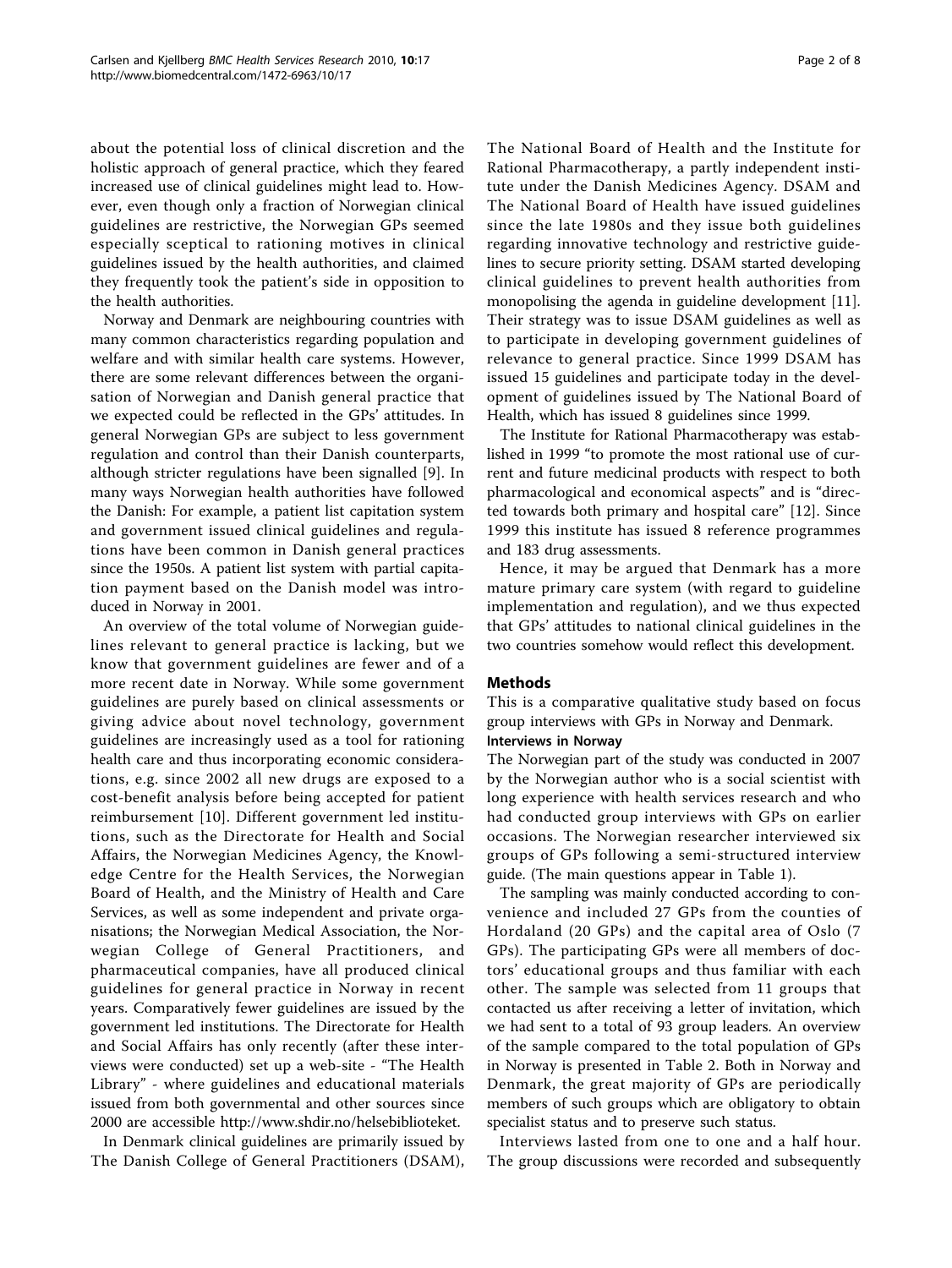about the potential loss of clinical discretion and the holistic approach of general practice, which they feared increased use of clinical guidelines might lead to. However, even though only a fraction of Norwegian clinical guidelines are restrictive, the Norwegian GPs seemed especially sceptical to rationing motives in clinical guidelines issued by the health authorities, and claimed they frequently took the patient's side in opposition to the health authorities.

Norway and Denmark are neighbouring countries with many common characteristics regarding population and welfare and with similar health care systems. However, there are some relevant differences between the organisation of Norwegian and Danish general practice that we expected could be reflected in the GPs' attitudes. In general Norwegian GPs are subject to less government regulation and control than their Danish counterparts, although stricter regulations have been signalled [[9\]](#page-7-0). In many ways Norwegian health authorities have followed the Danish: For example, a patient list capitation system and government issued clinical guidelines and regulations have been common in Danish general practices since the 1950s. A patient list system with partial capitation payment based on the Danish model was introduced in Norway in 2001.

An overview of the total volume of Norwegian guidelines relevant to general practice is lacking, but we know that government guidelines are fewer and of a more recent date in Norway. While some government guidelines are purely based on clinical assessments or giving advice about novel technology, government guidelines are increasingly used as a tool for rationing health care and thus incorporating economic considerations, e.g. since 2002 all new drugs are exposed to a cost-benefit analysis before being accepted for patient reimbursement [[10](#page-7-0)]. Different government led institutions, such as the Directorate for Health and Social Affairs, the Norwegian Medicines Agency, the Knowledge Centre for the Health Services, the Norwegian Board of Health, and the Ministry of Health and Care Services, as well as some independent and private organisations; the Norwegian Medical Association, the Norwegian College of General Practitioners, and pharmaceutical companies, have all produced clinical guidelines for general practice in Norway in recent years. Comparatively fewer guidelines are issued by the government led institutions. The Directorate for Health and Social Affairs has only recently (after these interviews were conducted) set up a web-site - "The Health Library" - where guidelines and educational materials issued from both governmental and other sources since 2000 are accessible [http://www.shdir.no/helsebiblioteket](Table 2Sample profile compared to all Norwegian and Danish GPsVariableNorwegian sampleGPs in Norway*Danish sampleGPs in Denmark***Data from the Norwegian Labour and Welfare Organisation and the Norwegian Medical Association: Available at http://www.nav.no/page?id=1073743257 and http://www.legeforeningen.no/index.gan?id=124987 Accessed August, 2007.**Data from the Danish Medical Association and the Danish Ministry of Health and Prevention: Available at http://www.laeger.dk/portal/page/portal/LAEGERDK/LAEGER_DK and http://www.sum.dk/ Accessed June 2009.Number of GPs273862183.639Male GPs67%68%56%62%Age (mean)454756,253,6Current list size (mean)1110119614981583GPs with open list31%46%53%65%).

In Denmark clinical guidelines are primarily issued by The Danish College of General Practitioners (DSAM),

The National Board of Health and the Institute for Rational Pharmacotherapy, a partly independent institute under the Danish Medicines Agency. DSAM and The National Board of Health have issued guidelines since the late 1980s and they issue both guidelines regarding innovative technology and restrictive guidelines to secure priority setting. DSAM started developing clinical guidelines to prevent health authorities from monopolising the agenda in guideline development [\[11](#page-7-0)]. Their strategy was to issue DSAM guidelines as well as to participate in developing government guidelines of relevance to general practice. Since 1999 DSAM has issued 15 guidelines and participate today in the development of guidelines issued by The National Board of Health, which has issued 8 guidelines since 1999.

The Institute for Rational Pharmacotherapy was established in 1999 "to promote the most rational use of current and future medicinal products with respect to both pharmacological and economical aspects" and is "directed towards both primary and hospital care" [[12\]](#page-7-0). Since 1999 this institute has issued 8 reference programmes and 183 drug assessments.

Hence, it may be argued that Denmark has a more mature primary care system (with regard to guideline implementation and regulation), and we thus expected that GPs' attitudes to national clinical guidelines in the two countries somehow would reflect this development.

## Methods

This is a comparative qualitative study based on focus group interviews with GPs in Norway and Denmark.

## Interviews in Norway

The Norwegian part of the study was conducted in 2007 by the Norwegian author who is a social scientist with long experience with health services research and who had conducted group interviews with GPs on earlier occasions. The Norwegian researcher interviewed six groups of GPs following a semi-structured interview guide. (The main questions appear in Table [1\)](#page-2-0).

The sampling was mainly conducted according to convenience and included 27 GPs from the counties of Hordaland (20 GPs) and the capital area of Oslo (7 GPs). The participating GPs were all members of doctors' educational groups and thus familiar with each other. The sample was selected from 11 groups that contacted us after receiving a letter of invitation, which we had sent to a total of 93 group leaders. An overview of the sample compared to the total population of GPs in Norway is presented in Table [2.](#page-2-0) Both in Norway and Denmark, the great majority of GPs are periodically members of such groups which are obligatory to obtain specialist status and to preserve such status.

Interviews lasted from one to one and a half hour. The group discussions were recorded and subsequently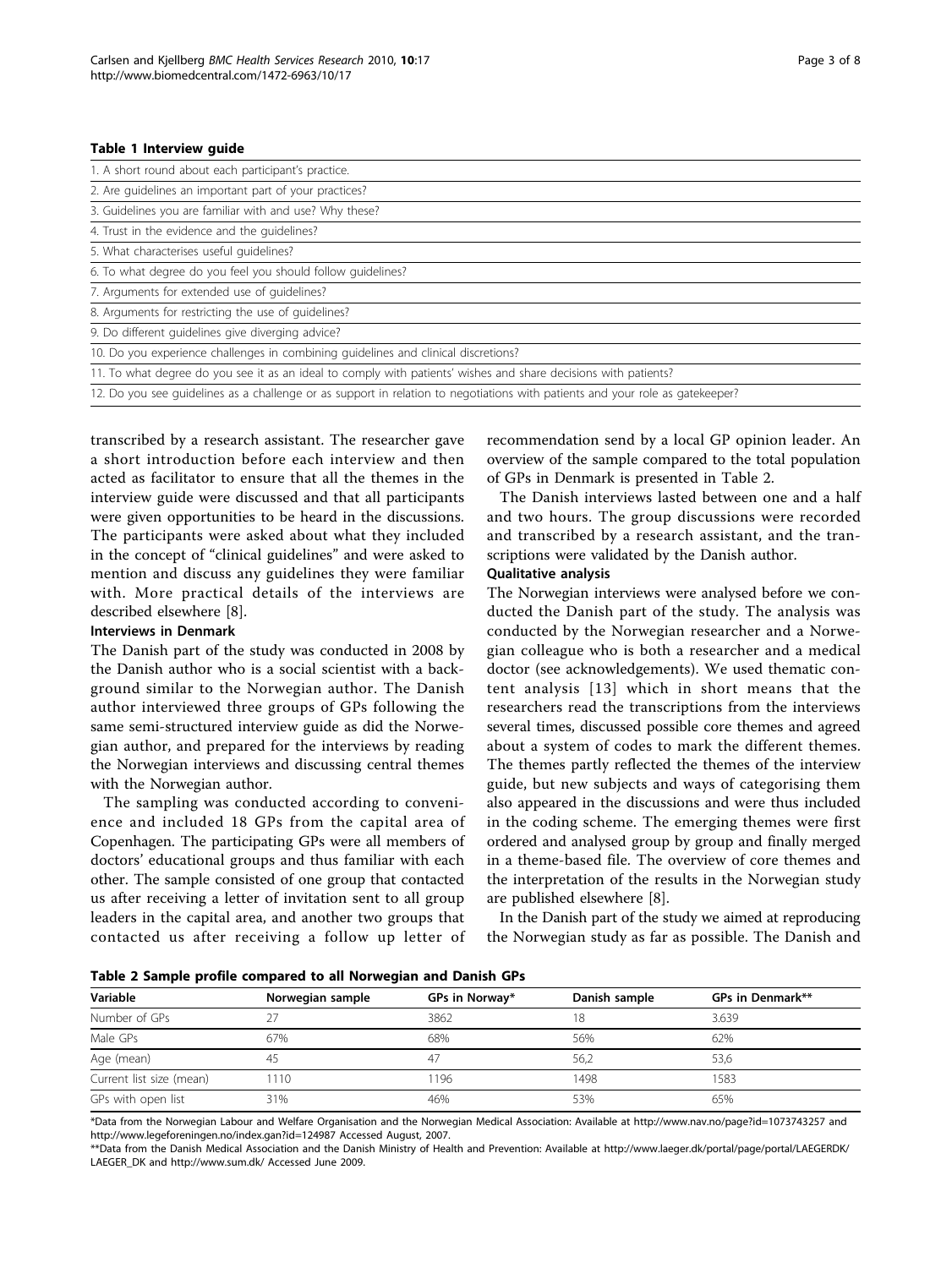<span id="page-2-0"></span>

| 1. A short round about each participant's practice.                                                                           |  |  |  |  |
|-------------------------------------------------------------------------------------------------------------------------------|--|--|--|--|
| 2. Are quidelines an important part of your practices?                                                                        |  |  |  |  |
| 3. Guidelines you are familiar with and use? Why these?                                                                       |  |  |  |  |
| 4. Trust in the evidence and the quidelines?                                                                                  |  |  |  |  |
| 5. What characterises useful quidelines?                                                                                      |  |  |  |  |
| 6. To what degree do you feel you should follow guidelines?                                                                   |  |  |  |  |
| 7. Arguments for extended use of quidelines?                                                                                  |  |  |  |  |
| 8. Arguments for restricting the use of guidelines?                                                                           |  |  |  |  |
| 9. Do different quidelines give diverging advice?                                                                             |  |  |  |  |
| 10. Do you experience challenges in combining guidelines and clinical discretions?                                            |  |  |  |  |
| 11. To what degree do you see it as an ideal to comply with patients' wishes and share decisions with patients?               |  |  |  |  |
| 12. Do you see quidelines as a challenge or as support in relation to negotiations with patients and your role as gatekeeper? |  |  |  |  |

transcribed by a research assistant. The researcher gave a short introduction before each interview and then acted as facilitator to ensure that all the themes in the interview guide were discussed and that all participants were given opportunities to be heard in the discussions. The participants were asked about what they included in the concept of "clinical guidelines" and were asked to mention and discuss any guidelines they were familiar with. More practical details of the interviews are described elsewhere [\[8](#page-6-0)].

## Interviews in Denmark

The Danish part of the study was conducted in 2008 by the Danish author who is a social scientist with a background similar to the Norwegian author. The Danish author interviewed three groups of GPs following the same semi-structured interview guide as did the Norwegian author, and prepared for the interviews by reading the Norwegian interviews and discussing central themes with the Norwegian author.

The sampling was conducted according to convenience and included 18 GPs from the capital area of Copenhagen. The participating GPs were all members of doctors' educational groups and thus familiar with each other. The sample consisted of one group that contacted us after receiving a letter of invitation sent to all group leaders in the capital area, and another two groups that contacted us after receiving a follow up letter of

recommendation send by a local GP opinion leader. An overview of the sample compared to the total population of GPs in Denmark is presented in Table 2.

The Danish interviews lasted between one and a half and two hours. The group discussions were recorded and transcribed by a research assistant, and the transcriptions were validated by the Danish author.

## Qualitative analysis

The Norwegian interviews were analysed before we conducted the Danish part of the study. The analysis was conducted by the Norwegian researcher and a Norwegian colleague who is both a researcher and a medical doctor (see acknowledgements). We used thematic content analysis [[13](#page-7-0)] which in short means that the researchers read the transcriptions from the interviews several times, discussed possible core themes and agreed about a system of codes to mark the different themes. The themes partly reflected the themes of the interview guide, but new subjects and ways of categorising them also appeared in the discussions and were thus included in the coding scheme. The emerging themes were first ordered and analysed group by group and finally merged in a theme-based file. The overview of core themes and the interpretation of the results in the Norwegian study are published elsewhere [[8\]](#page-6-0).

In the Danish part of the study we aimed at reproducing the Norwegian study as far as possible. The Danish and

Table 2 Sample profile compared to all Norwegian and Danish GPs

| Variable                 | Norwegian sample | GPs in Norway* | Danish sample | GPs in Denmark** |
|--------------------------|------------------|----------------|---------------|------------------|
| Number of GPs            |                  | 3862           | R.            | 3.639            |
| Male GPs                 | 67%              | 68%            | 56%           | 62%              |
| Age (mean)               |                  |                | 56.2          | 53.6             |
| Current list size (mean) | 110              | 1196           | 498           | 1583             |
| GPs with open list       | 31%              | 46%            | 53%           | 65%              |

\*Data from the Norwegian Labour and Welfare Organisation and the Norwegian Medical Association: Available at [http://www.nav.no/page?id=1073743257](http://www.biomedcentral.com/1472-6963/10/17) and [http://www.legeforeningen.no/index.gan?id=124987](Table 2Sample profile compared to all Norwegian and Danish GPsVariableNorwegian sampleGPs in Norway*Danish sampleGPs in Denmark***Data from the Norwegian Labour and Welfare Organisation and the Norwegian Medical Association: Available at http://www.nav.no/page?id=1073743257 and http://www.legeforeningen.no/index.gan?id=124987 Accessed August, 2007.**Data from the Danish Medical Association and the Danish Ministry of Health and Prevention: Available at http://www.laeger.dk/portal/page/portal/LAEGERDK/LAEGER_DK and http://www.sum.dk/ Accessed June 2009.Number of GPs273862183.639Male GPs67%68%56%62%Age (mean)454756,253,6Current list size (mean)1110119614981583GPs with open list31%46%53%65%) Accessed August, 2007.

\*\*Data from the Danish Medical Association and the Danish Ministry of Health and Prevention: Available at [http://www.laeger.dk/portal/page/portal/LAEGERDK/](http://www.ncbi.nlm.nih.gov/pubmed/12405894?dopt=Abstract) [LAEGER\\_DK](http://www.ncbi.nlm.nih.gov/pubmed/12405894?dopt=Abstract) and [http://www.sum.dk/](http://www.ncbi.nlm.nih.gov/pubmed/15069910?dopt=Abstract) Accessed June 2009.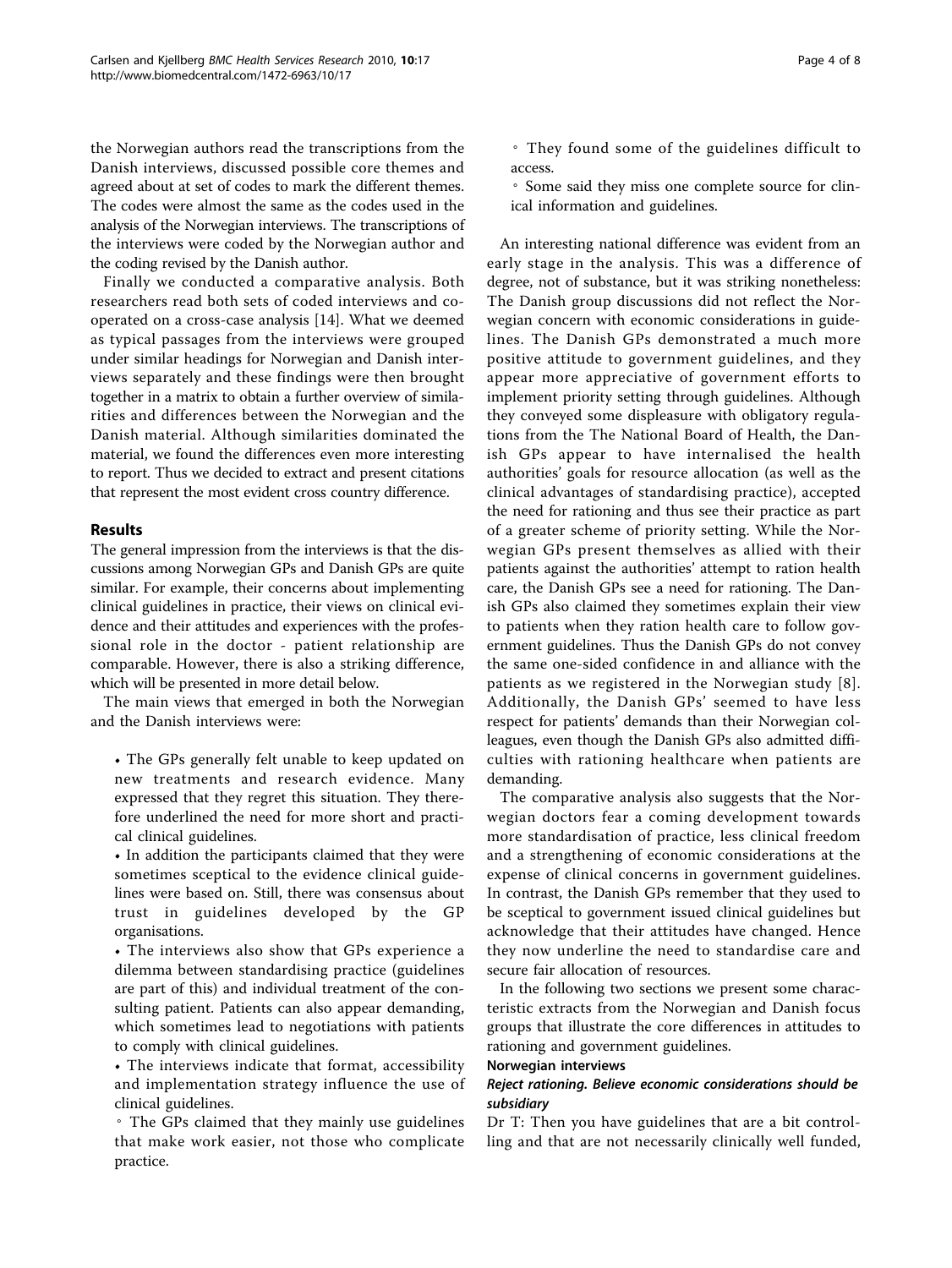the Norwegian authors read the transcriptions from the Danish interviews, discussed possible core themes and agreed about at set of codes to mark the different themes. The codes were almost the same as the codes used in the analysis of the Norwegian interviews. The transcriptions of the interviews were coded by the Norwegian author and the coding revised by the Danish author.

Finally we conducted a comparative analysis. Both researchers read both sets of coded interviews and cooperated on a cross-case analysis [[14\]](#page-7-0). What we deemed as typical passages from the interviews were grouped under similar headings for Norwegian and Danish interviews separately and these findings were then brought together in a matrix to obtain a further overview of similarities and differences between the Norwegian and the Danish material. Although similarities dominated the material, we found the differences even more interesting to report. Thus we decided to extract and present citations that represent the most evident cross country difference.

## Results

The general impression from the interviews is that the discussions among Norwegian GPs and Danish GPs are quite similar. For example, their concerns about implementing clinical guidelines in practice, their views on clinical evidence and their attitudes and experiences with the professional role in the doctor - patient relationship are comparable. However, there is also a striking difference, which will be presented in more detail below.

The main views that emerged in both the Norwegian and the Danish interviews were:

• The GPs generally felt unable to keep updated on new treatments and research evidence. Many expressed that they regret this situation. They therefore underlined the need for more short and practical clinical guidelines.

• In addition the participants claimed that they were sometimes sceptical to the evidence clinical guidelines were based on. Still, there was consensus about trust in guidelines developed by the GP organisations.

• The interviews also show that GPs experience a dilemma between standardising practice (guidelines are part of this) and individual treatment of the consulting patient. Patients can also appear demanding, which sometimes lead to negotiations with patients to comply with clinical guidelines.

• The interviews indicate that format, accessibility and implementation strategy influence the use of clinical guidelines.

◦ The GPs claimed that they mainly use guidelines that make work easier, not those who complicate practice.

◦ They found some of the guidelines difficult to access.

◦ Some said they miss one complete source for clinical information and guidelines.

An interesting national difference was evident from an early stage in the analysis. This was a difference of degree, not of substance, but it was striking nonetheless: The Danish group discussions did not reflect the Norwegian concern with economic considerations in guidelines. The Danish GPs demonstrated a much more positive attitude to government guidelines, and they appear more appreciative of government efforts to implement priority setting through guidelines. Although they conveyed some displeasure with obligatory regulations from the The National Board of Health, the Danish GPs appear to have internalised the health authorities' goals for resource allocation (as well as the clinical advantages of standardising practice), accepted the need for rationing and thus see their practice as part of a greater scheme of priority setting. While the Norwegian GPs present themselves as allied with their patients against the authorities' attempt to ration health care, the Danish GPs see a need for rationing. The Danish GPs also claimed they sometimes explain their view to patients when they ration health care to follow government guidelines. Thus the Danish GPs do not convey the same one-sided confidence in and alliance with the patients as we registered in the Norwegian study [[8\]](#page-6-0). Additionally, the Danish GPs' seemed to have less respect for patients' demands than their Norwegian colleagues, even though the Danish GPs also admitted difficulties with rationing healthcare when patients are demanding.

The comparative analysis also suggests that the Norwegian doctors fear a coming development towards more standardisation of practice, less clinical freedom and a strengthening of economic considerations at the expense of clinical concerns in government guidelines. In contrast, the Danish GPs remember that they used to be sceptical to government issued clinical guidelines but acknowledge that their attitudes have changed. Hence they now underline the need to standardise care and secure fair allocation of resources.

In the following two sections we present some characteristic extracts from the Norwegian and Danish focus groups that illustrate the core differences in attitudes to rationing and government guidelines.

#### Norwegian interviews

## Reject rationing. Believe economic considerations should be subsidiary

Dr T: Then you have guidelines that are a bit controlling and that are not necessarily clinically well funded,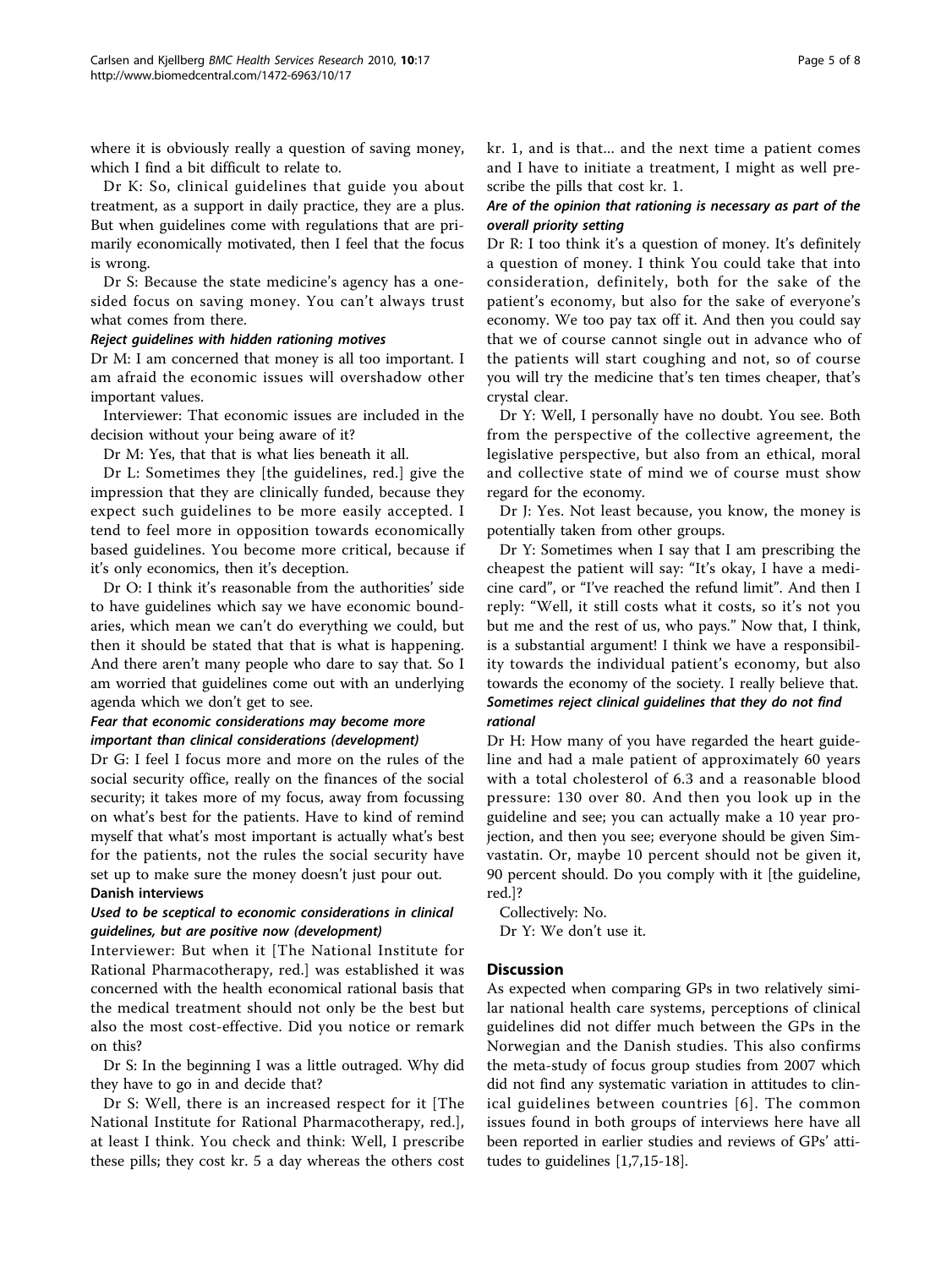where it is obviously really a question of saving money, which I find a bit difficult to relate to.

Dr K: So, clinical guidelines that guide you about treatment, as a support in daily practice, they are a plus. But when guidelines come with regulations that are primarily economically motivated, then I feel that the focus is wrong.

Dr S: Because the state medicine's agency has a onesided focus on saving money. You can't always trust what comes from there.

#### Reject guidelines with hidden rationing motives

Dr M: I am concerned that money is all too important. I am afraid the economic issues will overshadow other important values.

Interviewer: That economic issues are included in the decision without your being aware of it?

Dr M: Yes, that that is what lies beneath it all.

Dr L: Sometimes they [the guidelines, red.] give the impression that they are clinically funded, because they expect such guidelines to be more easily accepted. I tend to feel more in opposition towards economically based guidelines. You become more critical, because if it's only economics, then it's deception.

Dr O: I think it's reasonable from the authorities' side to have guidelines which say we have economic boundaries, which mean we can't do everything we could, but then it should be stated that that is what is happening. And there aren't many people who dare to say that. So I am worried that guidelines come out with an underlying agenda which we don't get to see.

## Fear that economic considerations may become more important than clinical considerations (development)

Dr G: I feel I focus more and more on the rules of the social security office, really on the finances of the social security; it takes more of my focus, away from focussing on what's best for the patients. Have to kind of remind myself that what's most important is actually what's best for the patients, not the rules the social security have set up to make sure the money doesn't just pour out.

#### Danish interviews

## Used to be sceptical to economic considerations in clinical guidelines, but are positive now (development)

Interviewer: But when it [The National Institute for Rational Pharmacotherapy, red.] was established it was concerned with the health economical rational basis that the medical treatment should not only be the best but also the most cost-effective. Did you notice or remark on this?

Dr S: In the beginning I was a little outraged. Why did they have to go in and decide that?

Dr S: Well, there is an increased respect for it [The National Institute for Rational Pharmacotherapy, red.], at least I think. You check and think: Well, I prescribe these pills; they cost kr. 5 a day whereas the others cost kr. 1, and is that... and the next time a patient comes and I have to initiate a treatment, I might as well prescribe the pills that cost kr. 1.

## Are of the opinion that rationing is necessary as part of the overall priority setting

Dr R: I too think it's a question of money. It's definitely a question of money. I think You could take that into consideration, definitely, both for the sake of the patient's economy, but also for the sake of everyone's economy. We too pay tax off it. And then you could say that we of course cannot single out in advance who of the patients will start coughing and not, so of course you will try the medicine that's ten times cheaper, that's crystal clear.

Dr Y: Well, I personally have no doubt. You see. Both from the perspective of the collective agreement, the legislative perspective, but also from an ethical, moral and collective state of mind we of course must show regard for the economy.

Dr J: Yes. Not least because, you know, the money is potentially taken from other groups.

Dr Y: Sometimes when I say that I am prescribing the cheapest the patient will say: "It's okay, I have a medicine card", or "I've reached the refund limit". And then I reply: "Well, it still costs what it costs, so it's not you but me and the rest of us, who pays." Now that, I think, is a substantial argument! I think we have a responsibility towards the individual patient's economy, but also towards the economy of the society. I really believe that. Sometimes reject clinical guidelines that they do not find rational

Dr H: How many of you have regarded the heart guideline and had a male patient of approximately 60 years with a total cholesterol of 6.3 and a reasonable blood pressure: 130 over 80. And then you look up in the guideline and see; you can actually make a 10 year projection, and then you see; everyone should be given Simvastatin. Or, maybe 10 percent should not be given it, 90 percent should. Do you comply with it [the guideline, red.]?

Collectively: No.

Dr Y: We don't use it.

#### **Discussion**

As expected when comparing GPs in two relatively similar national health care systems, perceptions of clinical guidelines did not differ much between the GPs in the Norwegian and the Danish studies. This also confirms the meta-study of focus group studies from 2007 which did not find any systematic variation in attitudes to clinical guidelines between countries [[6\]](#page-6-0). The common issues found in both groups of interviews here have all been reported in earlier studies and reviews of GPs' attitudes to guidelines [\[1,7](#page-6-0)[,15](#page-7-0)-[18](#page-7-0)].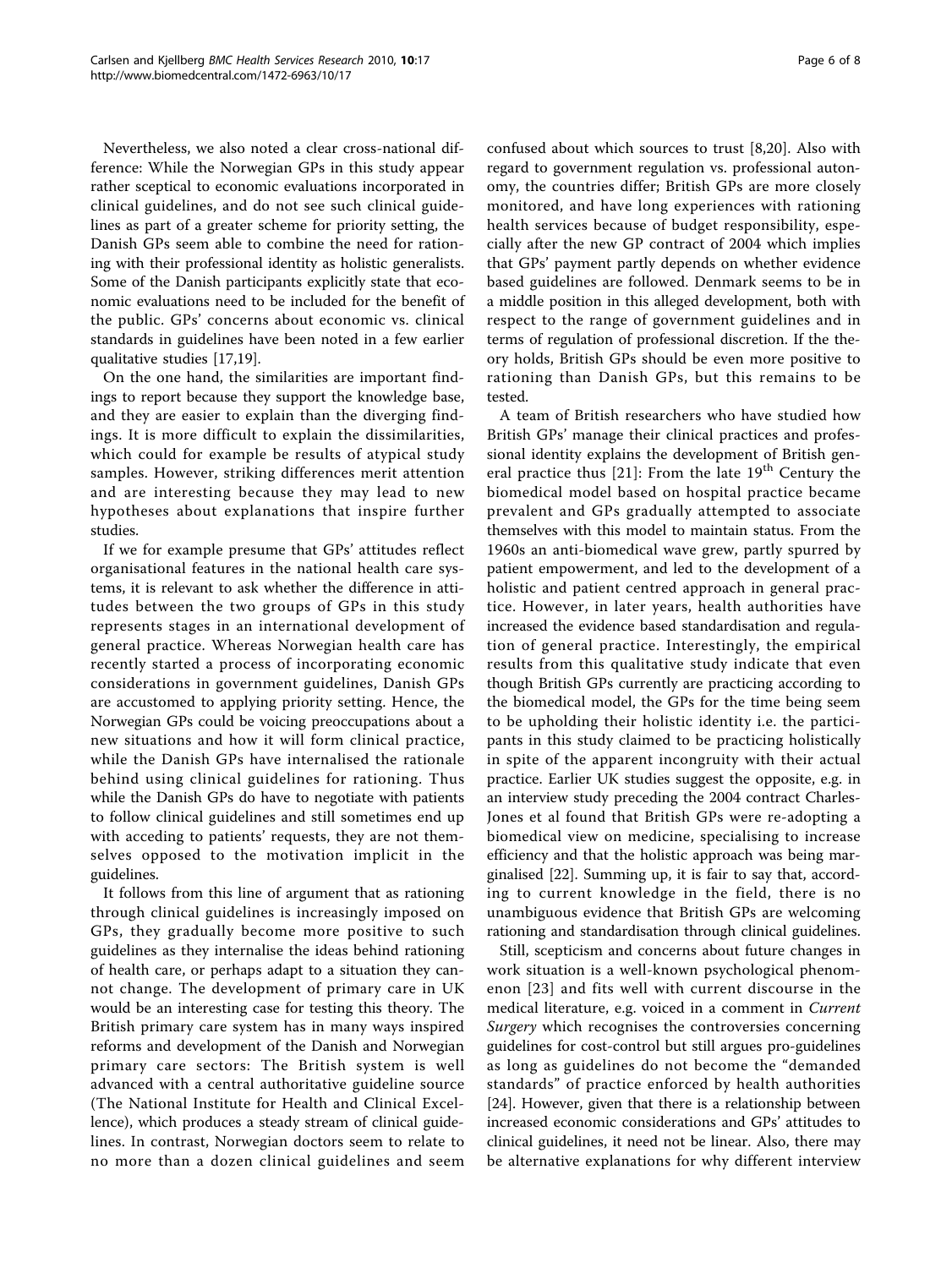Nevertheless, we also noted a clear cross-national difference: While the Norwegian GPs in this study appear rather sceptical to economic evaluations incorporated in clinical guidelines, and do not see such clinical guidelines as part of a greater scheme for priority setting, the Danish GPs seem able to combine the need for rationing with their professional identity as holistic generalists. Some of the Danish participants explicitly state that economic evaluations need to be included for the benefit of the public. GPs' concerns about economic vs. clinical standards in guidelines have been noted in a few earlier qualitative studies [\[17,19](#page-7-0)].

On the one hand, the similarities are important findings to report because they support the knowledge base, and they are easier to explain than the diverging findings. It is more difficult to explain the dissimilarities, which could for example be results of atypical study samples. However, striking differences merit attention and are interesting because they may lead to new hypotheses about explanations that inspire further studies.

If we for example presume that GPs' attitudes reflect organisational features in the national health care systems, it is relevant to ask whether the difference in attitudes between the two groups of GPs in this study represents stages in an international development of general practice. Whereas Norwegian health care has recently started a process of incorporating economic considerations in government guidelines, Danish GPs are accustomed to applying priority setting. Hence, the Norwegian GPs could be voicing preoccupations about a new situations and how it will form clinical practice, while the Danish GPs have internalised the rationale behind using clinical guidelines for rationing. Thus while the Danish GPs do have to negotiate with patients to follow clinical guidelines and still sometimes end up with acceding to patients' requests, they are not themselves opposed to the motivation implicit in the guidelines.

It follows from this line of argument that as rationing through clinical guidelines is increasingly imposed on GPs, they gradually become more positive to such guidelines as they internalise the ideas behind rationing of health care, or perhaps adapt to a situation they cannot change. The development of primary care in UK would be an interesting case for testing this theory. The British primary care system has in many ways inspired reforms and development of the Danish and Norwegian primary care sectors: The British system is well advanced with a central authoritative guideline source (The National Institute for Health and Clinical Excellence), which produces a steady stream of clinical guidelines. In contrast, Norwegian doctors seem to relate to no more than a dozen clinical guidelines and seem confused about which sources to trust [\[8](#page-6-0),[20\]](#page-7-0). Also with regard to government regulation vs. professional autonomy, the countries differ; British GPs are more closely monitored, and have long experiences with rationing health services because of budget responsibility, especially after the new GP contract of 2004 which implies that GPs' payment partly depends on whether evidence based guidelines are followed. Denmark seems to be in a middle position in this alleged development, both with respect to the range of government guidelines and in terms of regulation of professional discretion. If the theory holds, British GPs should be even more positive to rationing than Danish GPs, but this remains to be tested.

A team of British researchers who have studied how British GPs' manage their clinical practices and professional identity explains the development of British gen-eral practice thus [[21](#page-7-0)]: From the late  $19<sup>th</sup>$  Century the biomedical model based on hospital practice became prevalent and GPs gradually attempted to associate themselves with this model to maintain status. From the 1960s an anti-biomedical wave grew, partly spurred by patient empowerment, and led to the development of a holistic and patient centred approach in general practice. However, in later years, health authorities have increased the evidence based standardisation and regulation of general practice. Interestingly, the empirical results from this qualitative study indicate that even though British GPs currently are practicing according to the biomedical model, the GPs for the time being seem to be upholding their holistic identity i.e. the participants in this study claimed to be practicing holistically in spite of the apparent incongruity with their actual practice. Earlier UK studies suggest the opposite, e.g. in an interview study preceding the 2004 contract Charles-Jones et al found that British GPs were re-adopting a biomedical view on medicine, specialising to increase efficiency and that the holistic approach was being marginalised [[22](#page-7-0)]. Summing up, it is fair to say that, according to current knowledge in the field, there is no unambiguous evidence that British GPs are welcoming rationing and standardisation through clinical guidelines.

Still, scepticism and concerns about future changes in work situation is a well-known psychological phenomenon [\[23\]](#page-7-0) and fits well with current discourse in the medical literature, e.g. voiced in a comment in Current Surgery which recognises the controversies concerning guidelines for cost-control but still argues pro-guidelines as long as guidelines do not become the "demanded standards" of practice enforced by health authorities [[24\]](#page-7-0). However, given that there is a relationship between increased economic considerations and GPs' attitudes to clinical guidelines, it need not be linear. Also, there may be alternative explanations for why different interview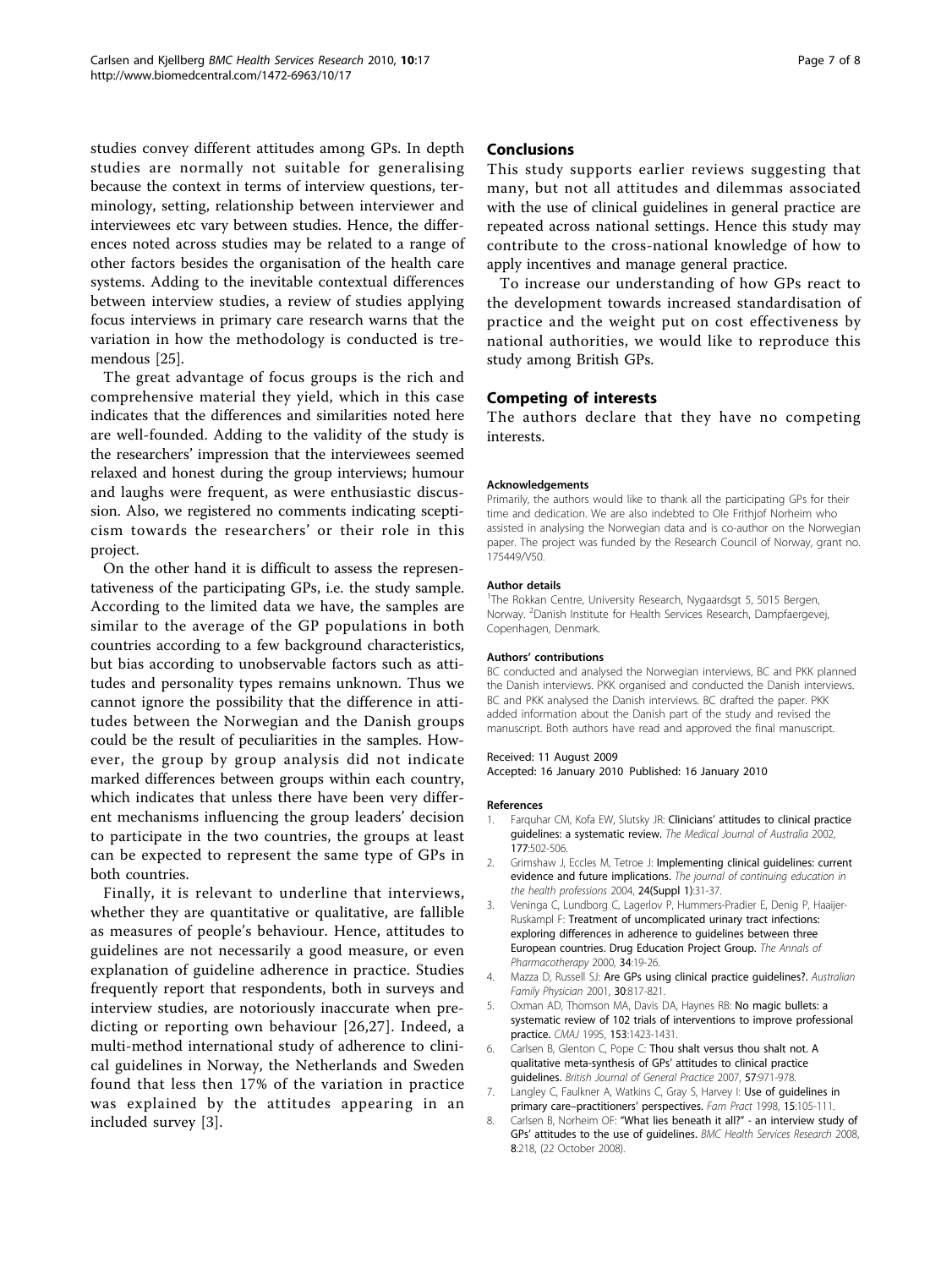<span id="page-6-0"></span>studies convey different attitudes among GPs. In depth studies are normally not suitable for generalising because the context in terms of interview questions, terminology, setting, relationship between interviewer and interviewees etc vary between studies. Hence, the differences noted across studies may be related to a range of other factors besides the organisation of the health care systems. Adding to the inevitable contextual differences between interview studies, a review of studies applying focus interviews in primary care research warns that the variation in how the methodology is conducted is tremendous [\[25](#page-7-0)].

The great advantage of focus groups is the rich and comprehensive material they yield, which in this case indicates that the differences and similarities noted here are well-founded. Adding to the validity of the study is the researchers' impression that the interviewees seemed relaxed and honest during the group interviews; humour and laughs were frequent, as were enthusiastic discussion. Also, we registered no comments indicating scepticism towards the researchers' or their role in this project.

On the other hand it is difficult to assess the representativeness of the participating GPs, i.e. the study sample. According to the limited data we have, the samples are similar to the average of the GP populations in both countries according to a few background characteristics, but bias according to unobservable factors such as attitudes and personality types remains unknown. Thus we cannot ignore the possibility that the difference in attitudes between the Norwegian and the Danish groups could be the result of peculiarities in the samples. However, the group by group analysis did not indicate marked differences between groups within each country, which indicates that unless there have been very different mechanisms influencing the group leaders' decision to participate in the two countries, the groups at least can be expected to represent the same type of GPs in both countries.

Finally, it is relevant to underline that interviews, whether they are quantitative or qualitative, are fallible as measures of people's behaviour. Hence, attitudes to guidelines are not necessarily a good measure, or even explanation of guideline adherence in practice. Studies frequently report that respondents, both in surveys and interview studies, are notoriously inaccurate when predicting or reporting own behaviour [[26,27](#page-7-0)]. Indeed, a multi-method international study of adherence to clinical guidelines in Norway, the Netherlands and Sweden found that less then 17% of the variation in practice was explained by the attitudes appearing in an included survey [3].

## Conclusions

This study supports earlier reviews suggesting that many, but not all attitudes and dilemmas associated with the use of clinical guidelines in general practice are repeated across national settings. Hence this study may contribute to the cross-national knowledge of how to apply incentives and manage general practice.

To increase our understanding of how GPs react to the development towards increased standardisation of practice and the weight put on cost effectiveness by national authorities, we would like to reproduce this study among British GPs.

## Competing of interests

The authors declare that they have no competing interests.

#### Acknowledgements

Primarily, the authors would like to thank all the participating GPs for their time and dedication. We are also indebted to Ole Frithjof Norheim who assisted in analysing the Norwegian data and is co-author on the Norwegian paper. The project was funded by the Research Council of Norway, grant no. 175449/V50.

#### Author details

<sup>1</sup>The Rokkan Centre, University Research, Nygaardsgt 5, 5015 Bergen, Norway. <sup>2</sup>Danish Institute for Health Services Research, Dampfaergevej Copenhagen, Denmark.

#### Authors' contributions

BC conducted and analysed the Norwegian interviews, BC and PKK planned the Danish interviews. PKK organised and conducted the Danish interviews. BC and PKK analysed the Danish interviews. BC drafted the paper. PKK added information about the Danish part of the study and revised the manuscript. Both authors have read and approved the final manuscript.

#### Received: 11 August 2009

Accepted: 16 January 2010 Published: 16 January 2010

#### References

- 1. Farquhar CM, Kofa EW, Slutsky JR: Clinicians' [attitudes to clinical practice](http://www.ncbi.nlm.nih.gov/pubmed/12405894?dopt=Abstract) [guidelines: a systematic review.](http://www.ncbi.nlm.nih.gov/pubmed/12405894?dopt=Abstract) The Medical Journal of Australia 2002, 177:502-506.
- 2. Grimshaw J, Eccles M, Tetroe J: [Implementing clinical guidelines: current](http://www.ncbi.nlm.nih.gov/pubmed/15069910?dopt=Abstract) [evidence and future implications.](http://www.ncbi.nlm.nih.gov/pubmed/15069910?dopt=Abstract) The journal of continuing education in the health professions 2004, 24(Suppl 1):31-37.
- 3. Veninga C, Lundborg C, Lagerlov P, Hummers-Pradier E, Denig P, Haaijer-Ruskampl F: [Treatment of uncomplicated urinary tract infections:](http://www.ncbi.nlm.nih.gov/pubmed/10669181?dopt=Abstract) [exploring differences in adherence to guidelines between three](http://www.ncbi.nlm.nih.gov/pubmed/10669181?dopt=Abstract) [European countries. Drug Education Project Group.](http://www.ncbi.nlm.nih.gov/pubmed/10669181?dopt=Abstract) The Annals of Pharmacotherapy 2000, 34:19-26.
- 4. Mazza D, Russell SJ: Are GPs using clinical practice quidelines?. Australian Family Physician 2001, 30:817-821.
- 5. Oxman AD, Thomson MA, Davis DA, Haynes RB: [No magic bullets: a](http://www.ncbi.nlm.nih.gov/pubmed/7585368?dopt=Abstract) [systematic review of 102 trials of interventions to improve professional](http://www.ncbi.nlm.nih.gov/pubmed/7585368?dopt=Abstract) [practice.](http://www.ncbi.nlm.nih.gov/pubmed/7585368?dopt=Abstract) CMAJ 1995, 153:1423-1431.
- 6. Carlsen B, Glenton C, Pope C: [Thou shalt versus thou shalt not. A](http://www.ncbi.nlm.nih.gov/pubmed/18252073?dopt=Abstract) [qualitative meta-synthesis of GPs](http://www.ncbi.nlm.nih.gov/pubmed/18252073?dopt=Abstract)' attitudes to clinical practice [guidelines.](http://www.ncbi.nlm.nih.gov/pubmed/18252073?dopt=Abstract) British Journal of General Practice 2007, 57:971-978.
- 7. Langley C, Faulkner A, Watkins C, Gray S, Harvey I: Use of quidelines in primary care-practitioners' [perspectives.](http://www.ncbi.nlm.nih.gov/pubmed/9613476?dopt=Abstract) Fam Pract 1998, 15:105-111
- 8. Carlsen B, Norheim OF: "[What lies beneath it all?](http://www.ncbi.nlm.nih.gov/pubmed/18945360?dopt=Abstract)" an interview study of GPs' [attitudes to the use of guidelines.](http://www.ncbi.nlm.nih.gov/pubmed/18945360?dopt=Abstract) BMC Health Services Research 2008, 8:218, (22 October 2008).